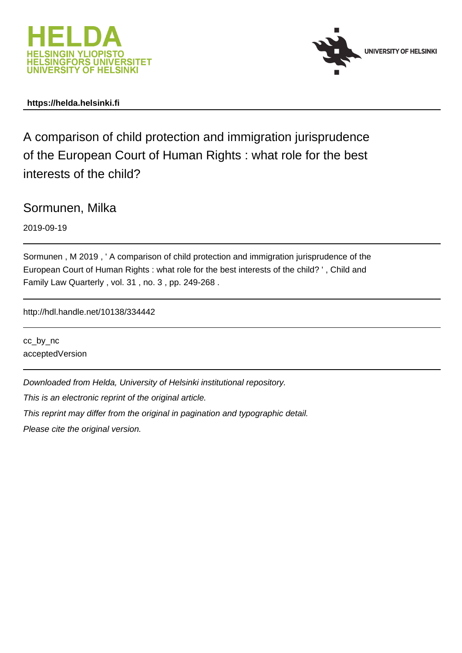



### **https://helda.helsinki.fi**

A comparison of child protection and immigration jurisprudence of the European Court of Human Rights : what role for the best interests of the child?

Sormunen, Milka

2019-09-19

Sormunen , M 2019 , ' A comparison of child protection and immigration jurisprudence of the European Court of Human Rights : what role for the best interests of the child? ' , Child and Family Law Quarterly , vol. 31 , no. 3 , pp. 249-268 .

http://hdl.handle.net/10138/334442

cc\_by\_nc acceptedVersion

Downloaded from Helda, University of Helsinki institutional repository.

This is an electronic reprint of the original article.

This reprint may differ from the original in pagination and typographic detail.

Please cite the original version.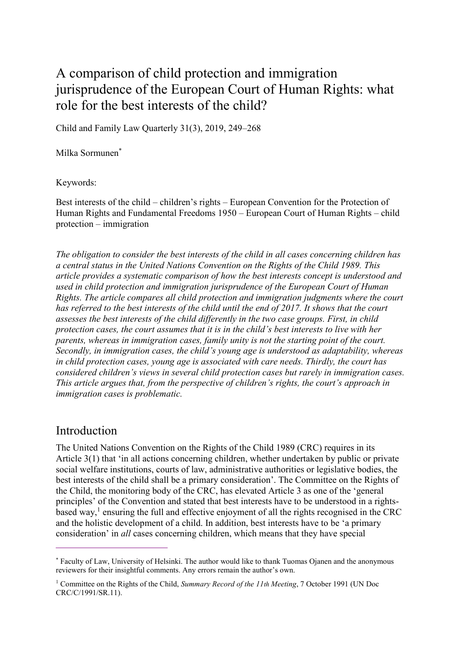# A comparison of child protection and immigration jurisprudence of the European Court of Human Rights: what role for the best interests of the child?

Child and Family Law Quarterly 31(3), 2019, 249–268

Milka Sormunen\*

Keywords:

Best interests of the child – children's rights – European Convention for the Protection of Human Rights and Fundamental Freedoms 1950 – European Court of Human Rights – child protection – immigration

*The obligation to consider the best interests of the child in all cases concerning children has a central status in the United Nations Convention on the Rights of the Child 1989. This article provides a systematic comparison of how the best interests concept is understood and used in child protection and immigration jurisprudence of the European Court of Human Rights. The article compares all child protection and immigration judgments where the court has referred to the best interests of the child until the end of 2017. It shows that the court assesses the best interests of the child differently in the two case groups. First, in child protection cases, the court assumes that it is in the child's best interests to live with her parents, whereas in immigration cases, family unity is not the starting point of the court. Secondly, in immigration cases, the child's young age is understood as adaptability, whereas in child protection cases, young age is associated with care needs. Thirdly, the court has considered children's views in several child protection cases but rarely in immigration cases. This article argues that, from the perspective of children's rights, the court's approach in immigration cases is problematic.*

### Introduction

 $\overline{a}$ 

The United Nations Convention on the Rights of the Child 1989 (CRC) requires in its Article 3(1) that 'in all actions concerning children, whether undertaken by public or private social welfare institutions, courts of law, administrative authorities or legislative bodies, the best interests of the child shall be a primary consideration'. The Committee on the Rights of the Child, the monitoring body of the CRC, has elevated Article 3 as one of the 'general principles' of the Convention and stated that best interests have to be understood in a rightsbased way,<sup>1</sup> ensuring the full and effective enjoyment of all the rights recognised in the CRC and the holistic development of a child. In addition, best interests have to be 'a primary consideration' in *all* cases concerning children, which means that they have special

<sup>\*</sup> Faculty of Law, University of Helsinki. The author would like to thank Tuomas Ojanen and the anonymous reviewers for their insightful comments. Any errors remain the author's own.

<sup>1</sup> Committee on the Rights of the Child, *Summary Record of the 11th Meeting*, 7 October 1991 (UN Doc CRC/C/1991/SR.11).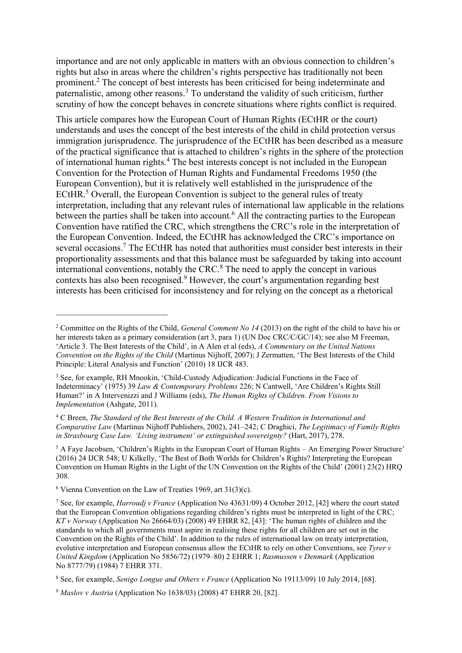importance and are not only applicable in matters with an obvious connection to children's rights but also in areas where the children's rights perspective has traditionally not been prominent.<sup>2</sup> The concept of best interests has been criticised for being indeterminate and paternalistic, among other reasons.<sup>3</sup> To understand the validity of such criticism, further scrutiny of how the concept behaves in concrete situations where rights conflict is required.

This article compares how the European Court of Human Rights (ECtHR or the court) understands and uses the concept of the best interests of the child in child protection versus immigration jurisprudence. The jurisprudence of the ECtHR has been described as a measure of the practical significance that is attached to children's rights in the sphere of the protection of international human rights.<sup>4</sup> The best interests concept is not included in the European Convention for the Protection of Human Rights and Fundamental Freedoms 1950 (the European Convention), but it is relatively well established in the jurisprudence of the ECtHR.<sup>5</sup> Overall, the European Convention is subject to the general rules of treaty interpretation, including that any relevant rules of international law applicable in the relations between the parties shall be taken into account.<sup>6</sup> All the contracting parties to the European Convention have ratified the CRC, which strengthens the CRC's role in the interpretation of the European Convention. Indeed, the ECtHR has acknowledged the CRC's importance on several occasions.<sup>7</sup> The ECtHR has noted that authorities must consider best interests in their proportionality assessments and that this balance must be safeguarded by taking into account international conventions, notably the CRC.<sup>8</sup> The need to apply the concept in various contexts has also been recognised.<sup>9</sup> However, the court's argumentation regarding best interests has been criticised for inconsistency and for relying on the concept as a rhetorical

<sup>2</sup> Committee on the Rights of the Child, *General Comment No 14* (2013) on the right of the child to have his or her interests taken as a primary consideration (art 3, para 1) (UN Doc CRC/C/GC/14); see also M Freeman, 'Article 3. The Best Interests of the Child', in A Alen et al (eds), *A Commentary on the United Nations Convention on the Rights of the Child* (Martinus Nijhoff, 2007); J Zermatten, 'The Best Interests of the Child Principle: Literal Analysis and Function' (2010) 18 IJCR 483.

<sup>&</sup>lt;sup>3</sup> See, for example, RH Mnookin, 'Child-Custody Adjudication: Judicial Functions in the Face of Indeterminacy' (1975) 39 *Law & Contemporary Problems* 226; N Cantwell, 'Are Children's Rights Still Human?' in A Intervenizzi and J Williams (eds), *The Human Rights of Children. From Visions to Implementation* (Ashgate, 2011).

<sup>4</sup> C Breen, *The Standard of the Best Interests of the Child. A Western Tradition in International and Comparative Law* (Martinus Nijhoff Publishers, 2002), 241–242; C Draghici, *The Legitimacy of Family Rights in Strasbourg Case Law. 'Living instrument' or extinguished sovereignty?* (Hart, 2017), 278.

<sup>5</sup> A Faye Jacobsen, 'Children's Rights in the European Court of Human Rights – An Emerging Power Structure' (2016) 24 IJCR 548; U Kilkelly, 'The Best of Both Worlds for Children's Rights? Interpreting the European Convention on Human Rights in the Light of the UN Convention on the Rights of the Child' (2001) 23(2) HRQ 308.

 $6$  Vienna Convention on the Law of Treaties 1969, art 31(3)(c).

<sup>7</sup> See, for example, *Harroudj v France* (Application No 43631/09) 4 October 2012, [42] where the court stated that the European Convention obligations regarding children's rights must be interpreted in light of the CRC; *KT v Norway* (Application No 26664/03) (2008) 49 EHRR 82, [43]: 'The human rights of children and the standards to which all governments must aspire in realising these rights for all children are set out in the Convention on the Rights of the Child'. In addition to the rules of international law on treaty interpretation, evolutive interpretation and European consensus allow the ECtHR to rely on other Conventions, see *Tyrer v United Kingdom* (Application No 5856/72) (1979–80) 2 EHRR 1; *Rasmussen v Denmark* (Application No 8777/79) (1984) 7 EHRR 371.

<sup>8</sup> See, for example, *Senigo Longue and Others v France* (Application No 19113/09) 10 July 2014, [68].

<sup>9</sup> *Maslov v Austria* (Application No 1638/03) (2008) 47 EHRR 20, [82].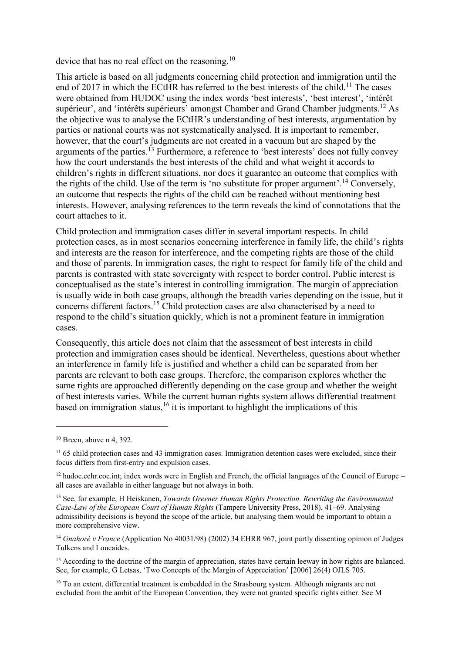device that has no real effect on the reasoning.<sup>10</sup>

This article is based on all judgments concerning child protection and immigration until the end of 2017 in which the ECtHR has referred to the best interests of the child.<sup>11</sup> The cases were obtained from HUDOC using the index words 'best interests', 'best interest', 'intérêt supérieur', and 'intérêts supérieurs' amongst Chamber and Grand Chamber judgments.<sup>12</sup> As the objective was to analyse the ECtHR's understanding of best interests, argumentation by parties or national courts was not systematically analysed. It is important to remember, however, that the court's judgments are not created in a vacuum but are shaped by the arguments of the parties.<sup>13</sup> Furthermore, a reference to 'best interests' does not fully convey how the court understands the best interests of the child and what weight it accords to children's rights in different situations, nor does it guarantee an outcome that complies with the rights of the child. Use of the term is 'no substitute for proper argument'.<sup>14</sup> Conversely, an outcome that respects the rights of the child can be reached without mentioning best interests. However, analysing references to the term reveals the kind of connotations that the court attaches to it.

Child protection and immigration cases differ in several important respects. In child protection cases, as in most scenarios concerning interference in family life, the child's rights and interests are the reason for interference, and the competing rights are those of the child and those of parents. In immigration cases, the right to respect for family life of the child and parents is contrasted with state sovereignty with respect to border control. Public interest is conceptualised as the state's interest in controlling immigration. The margin of appreciation is usually wide in both case groups, although the breadth varies depending on the issue, but it concerns different factors.<sup>15</sup> Child protection cases are also characterised by a need to respond to the child's situation quickly, which is not a prominent feature in immigration cases.

Consequently, this article does not claim that the assessment of best interests in child protection and immigration cases should be identical. Nevertheless, questions about whether an interference in family life is justified and whether a child can be separated from her parents are relevant to both case groups. Therefore, the comparison explores whether the same rights are approached differently depending on the case group and whether the weight of best interests varies. While the current human rights system allows differential treatment based on immigration status,  $16$  it is important to highlight the implications of this

<sup>10</sup> Breen, above n 4, 392.

<sup>&</sup>lt;sup>11</sup> 65 child protection cases and 43 immigration cases. Immigration detention cases were excluded, since their focus differs from first-entry and expulsion cases.

 $12$  hudoc.echr.coe.int; index words were in English and French, the official languages of the Council of Europe – all cases are available in either language but not always in both.

<sup>13</sup> See, for example, H Heiskanen, *Towards Greener Human Rights Protection. Rewriting the Environmental Case-Law of the European Court of Human Rights* (Tampere University Press, 2018), 41–69. Analysing admissibility decisions is beyond the scope of the article, but analysing them would be important to obtain a more comprehensive view.

<sup>&</sup>lt;sup>14</sup> *Gnahoré v France* (Application No 40031/98) (2002) 34 EHRR 967, joint partly dissenting opinion of Judges Tulkens and Loucaides.

<sup>&</sup>lt;sup>15</sup> According to the doctrine of the margin of appreciation, states have certain leeway in how rights are balanced. See, for example, G Letsas, 'Two Concepts of the Margin of Appreciation' [2006] 26(4) OJLS 705.

<sup>&</sup>lt;sup>16</sup> To an extent, differential treatment is embedded in the Strasbourg system. Although migrants are not excluded from the ambit of the European Convention, they were not granted specific rights either. See M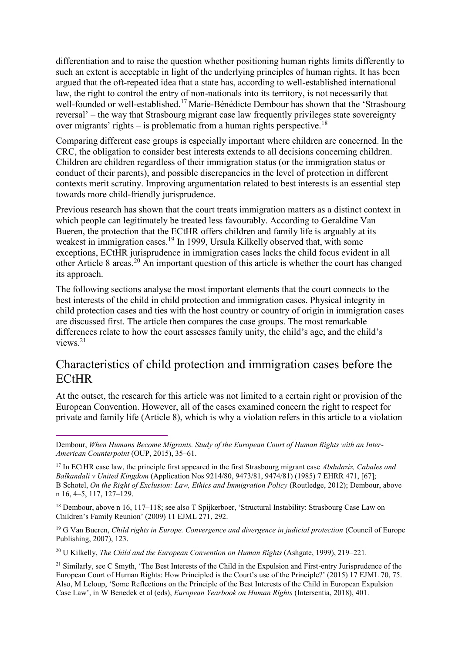differentiation and to raise the question whether positioning human rights limits differently to such an extent is acceptable in light of the underlying principles of human rights. It has been argued that the oft-repeated idea that a state has, according to well-established international law, the right to control the entry of non-nationals into its territory, is not necessarily that well-founded or well-established.<sup>17</sup> Marie-Bénédicte Dembour has shown that the 'Strasbourg' reversal' – the way that Strasbourg migrant case law frequently privileges state sovereignty over migrants' rights – is problematic from a human rights perspective.<sup>18</sup>

Comparing different case groups is especially important where children are concerned. In the CRC, the obligation to consider best interests extends to all decisions concerning children. Children are children regardless of their immigration status (or the immigration status or conduct of their parents), and possible discrepancies in the level of protection in different contexts merit scrutiny. Improving argumentation related to best interests is an essential step towards more child-friendly jurisprudence.

Previous research has shown that the court treats immigration matters as a distinct context in which people can legitimately be treated less favourably. According to Geraldine Van Bueren, the protection that the ECtHR offers children and family life is arguably at its weakest in immigration cases.<sup>19</sup> In 1999, Ursula Kilkelly observed that, with some exceptions, ECtHR jurisprudence in immigration cases lacks the child focus evident in all other Article 8 areas.<sup>20</sup> An important question of this article is whether the court has changed its approach.

The following sections analyse the most important elements that the court connects to the best interests of the child in child protection and immigration cases. Physical integrity in child protection cases and ties with the host country or country of origin in immigration cases are discussed first. The article then compares the case groups. The most remarkable differences relate to how the court assesses family unity, the child's age, and the child's views.<sup>21</sup>

## Characteristics of child protection and immigration cases before the ECtHR

At the outset, the research for this article was not limited to a certain right or provision of the European Convention. However, all of the cases examined concern the right to respect for private and family life (Article 8), which is why a violation refers in this article to a violation

<u>.</u>

<sup>20</sup> U Kilkelly, *The Child and the European Convention on Human Rights* (Ashgate, 1999), 219–221.

Dembour, *When Humans Become Migrants. Study of the European Court of Human Rights with an Inter-American Counterpoint* (OUP, 2015), 35–61.

<sup>17</sup> In ECtHR case law, the principle first appeared in the first Strasbourg migrant case *Abdulaziz, Cabales and Balkandali v United Kingdom* (Application Nos 9214/80, 9473/81, 9474/81) (1985) 7 EHRR 471, [67]; B Schotel, *On the Right of Exclusion: Law, Ethics and Immigration Policy* (Routledge, 2012); Dembour, above n 16, 4–5, 117, 127–129.

<sup>18</sup> Dembour, above n 16, 117–118; see also T Spijkerboer, 'Structural Instability: Strasbourg Case Law on Children's Family Reunion' (2009) 11 EJML 271, 292.

<sup>&</sup>lt;sup>19</sup> G Van Bueren, *Child rights in Europe. Convergence and divergence in judicial protection* (Council of Europe Publishing, 2007), 123.

<sup>&</sup>lt;sup>21</sup> Similarly, see C Smyth, 'The Best Interests of the Child in the Expulsion and First-entry Jurisprudence of the European Court of Human Rights: How Principled is the Court's use of the Principle?' (2015) 17 EJML 70, 75. Also, M Leloup, 'Some Reflections on the Principle of the Best Interests of the Child in European Expulsion Case Law', in W Benedek et al (eds), *European Yearbook on Human Rights* (Intersentia, 2018), 401.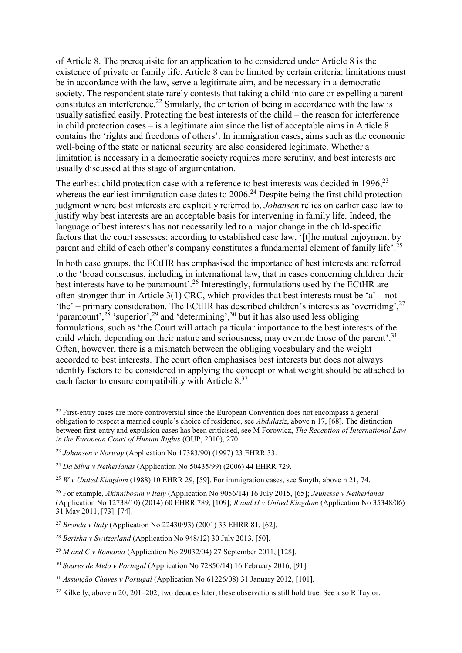of Article 8. The prerequisite for an application to be considered under Article 8 is the existence of private or family life. Article 8 can be limited by certain criteria: limitations must be in accordance with the law, serve a legitimate aim, and be necessary in a democratic society. The respondent state rarely contests that taking a child into care or expelling a parent constitutes an interference.<sup>22</sup> Similarly, the criterion of being in accordance with the law is usually satisfied easily. Protecting the best interests of the child – the reason for interference in child protection cases – is a legitimate aim since the list of acceptable aims in Article 8 contains the 'rights and freedoms of others'. In immigration cases, aims such as the economic well-being of the state or national security are also considered legitimate. Whether a limitation is necessary in a democratic society requires more scrutiny, and best interests are usually discussed at this stage of argumentation.

The earliest child protection case with a reference to best interests was decided in  $1996$ <sup>23</sup> whereas the earliest immigration case dates to  $2006.<sup>24</sup>$  Despite being the first child protection judgment where best interests are explicitly referred to, *Johansen* relies on earlier case law to justify why best interests are an acceptable basis for intervening in family life. Indeed, the language of best interests has not necessarily led to a major change in the child-specific factors that the court assesses; according to established case law, '[t]he mutual enjoyment by parent and child of each other's company constitutes a fundamental element of family life'.<sup>25</sup>

In both case groups, the ECtHR has emphasised the importance of best interests and referred to the 'broad consensus, including in international law, that in cases concerning children their best interests have to be paramount'.<sup>26</sup> Interestingly, formulations used by the ECtHR are often stronger than in Article 3(1) CRC, which provides that best interests must be 'a' – not 'the' – primary consideration. The ECtHR has described children's interests as 'overriding',<sup>27</sup> 'paramount',<sup>28</sup> 'superior',<sup>29</sup> and 'determining',<sup>30</sup> but it has also used less obliging formulations, such as 'the Court will attach particular importance to the best interests of the child which, depending on their nature and seriousness, may override those of the parent'.<sup>31</sup> Often, however, there is a mismatch between the obliging vocabulary and the weight accorded to best interests. The court often emphasises best interests but does not always identify factors to be considered in applying the concept or what weight should be attached to each factor to ensure compatibility with Article 8.<sup>32</sup>

<sup>&</sup>lt;sup>22</sup> First-entry cases are more controversial since the European Convention does not encompass a general obligation to respect a married couple's choice of residence, see *Abdulaziz*, above n 17, [68]. The distinction between first-entry and expulsion cases has been criticised, see M Forowicz, *The Reception of International Law in the European Court of Human Rights* (OUP, 2010), 270.

<sup>23</sup> *Johansen v Norway* (Application No 17383/90) (1997) 23 EHRR 33.

<sup>24</sup> *Da Silva v Netherlands* (Application No 50435/99) (2006) 44 EHRR 729.

<sup>25</sup> *W v United Kingdom* (1988) 10 EHRR 29, [59]. For immigration cases, see Smyth, above n 21, 74.

<sup>26</sup> For example, *Akinnibosun v Italy* (Application No 9056/14) 16 July 2015, [65]; *Jeunesse v Netherlands* (Application No 12738/10) (2014) 60 EHRR 789, [109]; *R and H v United Kingdom* (Application No 35348/06) 31 May 2011, [73]–[74].

<sup>27</sup> *Bronda v Italy* (Application No 22430/93) (2001) 33 EHRR 81, [62].

<sup>28</sup> *Berisha v Switzerland* (Application No 948/12) 30 July 2013, [50].

<sup>29</sup> *M and C v Romania* (Application No 29032/04) 27 September 2011, [128].

<sup>30</sup> *Soares de Melo v Portugal* (Application No 72850/14) 16 February 2016, [91].

<sup>31</sup> *Assunção Chaves v Portugal* (Application No 61226/08) 31 January 2012, [101].

 $32$  Kilkelly, above n 20, 201–202; two decades later, these observations still hold true. See also R Taylor,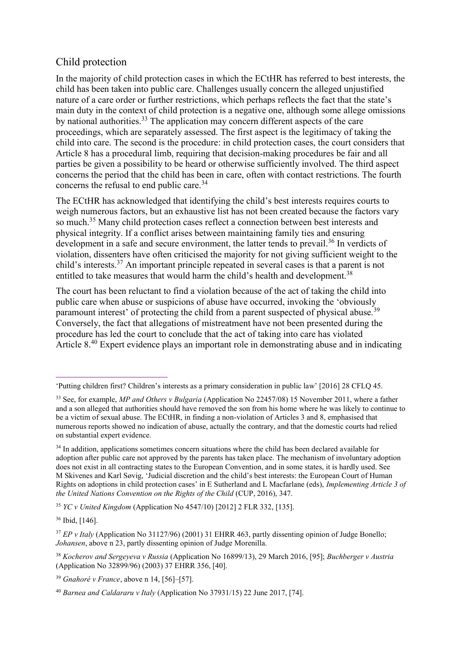### Child protection

In the majority of child protection cases in which the ECtHR has referred to best interests, the child has been taken into public care. Challenges usually concern the alleged unjustified nature of a care order or further restrictions, which perhaps reflects the fact that the state's main duty in the context of child protection is a negative one, although some allege omissions by national authorities.<sup>33</sup> The application may concern different aspects of the care proceedings, which are separately assessed. The first aspect is the legitimacy of taking the child into care. The second is the procedure: in child protection cases, the court considers that Article 8 has a procedural limb, requiring that decision-making procedures be fair and all parties be given a possibility to be heard or otherwise sufficiently involved. The third aspect concerns the period that the child has been in care, often with contact restrictions. The fourth concerns the refusal to end public care.<sup>34</sup>

The ECtHR has acknowledged that identifying the child's best interests requires courts to weigh numerous factors, but an exhaustive list has not been created because the factors vary so much.<sup>35</sup> Many child protection cases reflect a connection between best interests and physical integrity. If a conflict arises between maintaining family ties and ensuring development in a safe and secure environment, the latter tends to prevail.<sup>36</sup> In verdicts of violation, dissenters have often criticised the majority for not giving sufficient weight to the child's interests.<sup>37</sup> An important principle repeated in several cases is that a parent is not entitled to take measures that would harm the child's health and development.<sup>38</sup>

The court has been reluctant to find a violation because of the act of taking the child into public care when abuse or suspicions of abuse have occurred, invoking the 'obviously paramount interest' of protecting the child from a parent suspected of physical abuse.<sup>39</sup> Conversely, the fact that allegations of mistreatment have not been presented during the procedure has led the court to conclude that the act of taking into care has violated Article 8.<sup>40</sup> Expert evidence plays an important role in demonstrating abuse and in indicating

<sup>36</sup> Ibid, [146].

<sup>&#</sup>x27;Putting children first? Children's interests as a primary consideration in public law' [2016] 28 CFLQ 45.

<sup>33</sup> See, for example, *MP and Others v Bulgaria* (Application No 22457/08) 15 November 2011, where a father and a son alleged that authorities should have removed the son from his home where he was likely to continue to be a victim of sexual abuse. The ECtHR, in finding a non-violation of Articles 3 and 8, emphasised that numerous reports showed no indication of abuse, actually the contrary, and that the domestic courts had relied on substantial expert evidence.

 $34$  In addition, applications sometimes concern situations where the child has been declared available for adoption after public care not approved by the parents has taken place. The mechanism of involuntary adoption does not exist in all contracting states to the European Convention, and in some states, it is hardly used. See M Skivenes and Karl Søvig, 'Judicial discretion and the child's best interests: the European Court of Human Rights on adoptions in child protection cases' in E Sutherland and L Macfarlane (eds), *Implementing Article 3 of the United Nations Convention on the Rights of the Child* (CUP, 2016), 347.

<sup>35</sup> *YC v United Kingdom* (Application No 4547/10) [2012] 2 FLR 332, [135].

<sup>&</sup>lt;sup>37</sup> *EP v Italy* (Application No 31127/96) (2001) 31 EHRR 463, partly dissenting opinion of Judge Bonello; *Johansen*, above n 23, partly dissenting opinion of Judge Morenilla.

<sup>38</sup> *Kocherov and Sergeyeva v Russia* (Application No 16899/13), 29 March 2016, [95]; *Buchberger v Austria* (Application No 32899/96) (2003) 37 EHRR 356, [40].

<sup>39</sup> *Gnahoré v France*, above n 14, [56]–[57].

<sup>40</sup> *Barnea and Caldararu v Italy* (Application No 37931/15) 22 June 2017, [74].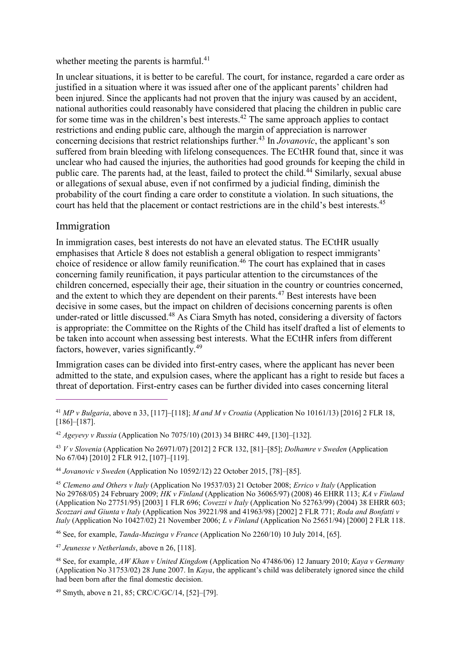whether meeting the parents is harmful. $41$ 

In unclear situations, it is better to be careful. The court, for instance, regarded a care order as justified in a situation where it was issued after one of the applicant parents' children had been injured. Since the applicants had not proven that the injury was caused by an accident, national authorities could reasonably have considered that placing the children in public care for some time was in the children's best interests.<sup>42</sup> The same approach applies to contact restrictions and ending public care, although the margin of appreciation is narrower concerning decisions that restrict relationships further.<sup>43</sup> In *Jovanovic*, the applicant's son suffered from brain bleeding with lifelong consequences. The ECtHR found that, since it was unclear who had caused the injuries, the authorities had good grounds for keeping the child in public care. The parents had, at the least, failed to protect the child.<sup>44</sup> Similarly, sexual abuse or allegations of sexual abuse, even if not confirmed by a judicial finding, diminish the probability of the court finding a care order to constitute a violation. In such situations, the court has held that the placement or contact restrictions are in the child's best interests.<sup>45</sup>

### Immigration

 $\overline{a}$ 

In immigration cases, best interests do not have an elevated status. The ECtHR usually emphasises that Article 8 does not establish a general obligation to respect immigrants' choice of residence or allow family reunification.<sup>46</sup> The court has explained that in cases concerning family reunification, it pays particular attention to the circumstances of the children concerned, especially their age, their situation in the country or countries concerned, and the extent to which they are dependent on their parents.<sup>47</sup> Best interests have been decisive in some cases, but the impact on children of decisions concerning parents is often under-rated or little discussed.<sup>48</sup> As Ciara Smyth has noted, considering a diversity of factors is appropriate: the Committee on the Rights of the Child has itself drafted a list of elements to be taken into account when assessing best interests. What the ECtHR infers from different factors, however, varies significantly.<sup>49</sup>

Immigration cases can be divided into first-entry cases, where the applicant has never been admitted to the state, and expulsion cases, where the applicant has a right to reside but faces a threat of deportation. First-entry cases can be further divided into cases concerning literal

<sup>46</sup> See, for example, *Tanda-Muzinga v France* (Application No 2260/10) 10 July 2014, [65].

<sup>41</sup> *MP v Bulgaria*, above n 33, [117]–[118]; *M and M v Croatia* (Application No 10161/13) [2016] 2 FLR 18, [186]–[187].

<sup>42</sup> *Ageyevy v Russia* (Application No 7075/10) (2013) 34 BHRC 449, [130]–[132].

<sup>43</sup> *V v Slovenia* (Application No 26971/07) [2012] 2 FCR 132, [81]–[85]; *Dolhamre v Sweden* (Application No 67/04) [2010] 2 FLR 912, [107]–[119].

<sup>44</sup> *Jovanovic v Sweden* (Application No 10592/12) 22 October 2015, [78]–[85].

<sup>45</sup> *Clemeno and Others v Italy* (Application No 19537/03) 21 October 2008; *Errico v Italy* (Application No 29768/05) 24 February 2009; *HK v Finland* (Application No 36065/97) (2008) 46 EHRR 113; *KA v Finland*  (Application No 27751/95) [2003] 1 FLR 696; *Covezzi v Italy* (Application No 52763/99) (2004) 38 EHRR 603; *Scozzari and Giunta v Italy* (Application Nos 39221/98 and 41963/98) [2002] 2 FLR 771; *Roda and Bonfatti v Italy* (Application No 10427/02) 21 November 2006; *L v Finland* (Application No 25651/94) [2000] 2 FLR 118.

<sup>47</sup> *Jeunesse v Netherlands*, above n 26, [118].

<sup>48</sup> See, for example, *AW Khan v United Kingdom* (Application No 47486/06) 12 January 2010; *Kaya v Germany* (Application No 31753/02) 28 June 2007. In *Kaya*, the applicant's child was deliberately ignored since the child had been born after the final domestic decision.

<sup>49</sup> Smyth, above n 21, 85; CRC/C/GC/14, [52]–[79].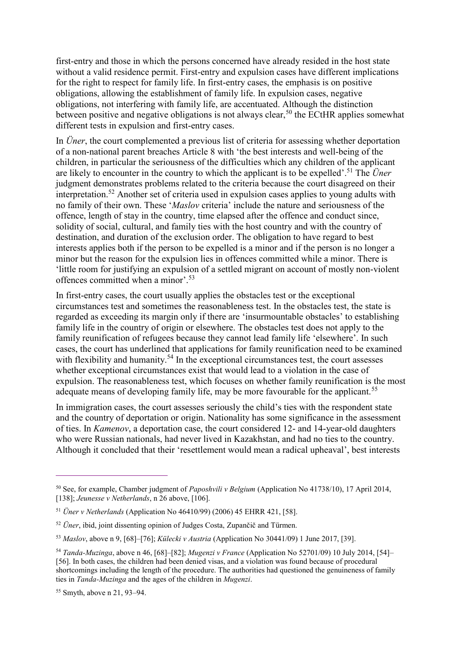first-entry and those in which the persons concerned have already resided in the host state without a valid residence permit. First-entry and expulsion cases have different implications for the right to respect for family life. In first-entry cases, the emphasis is on positive obligations, allowing the establishment of family life. In expulsion cases, negative obligations, not interfering with family life, are accentuated. Although the distinction between positive and negative obligations is not always clear,  $50$  the ECtHR applies somewhat different tests in expulsion and first-entry cases.

In *Üner*, the court complemented a previous list of criteria for assessing whether deportation of a non-national parent breaches Article 8 with 'the best interests and well-being of the children, in particular the seriousness of the difficulties which any children of the applicant are likely to encounter in the country to which the applicant is to be expelled'. <sup>51</sup> The *Üner* judgment demonstrates problems related to the criteria because the court disagreed on their interpretation.<sup>52</sup> Another set of criteria used in expulsion cases applies to young adults with no family of their own. These '*Maslov* criteria' include the nature and seriousness of the offence, length of stay in the country, time elapsed after the offence and conduct since, solidity of social, cultural, and family ties with the host country and with the country of destination, and duration of the exclusion order. The obligation to have regard to best interests applies both if the person to be expelled is a minor and if the person is no longer a minor but the reason for the expulsion lies in offences committed while a minor. There is 'little room for justifying an expulsion of a settled migrant on account of mostly non-violent offences committed when a minor'.<sup>53</sup>

In first-entry cases, the court usually applies the obstacles test or the exceptional circumstances test and sometimes the reasonableness test. In the obstacles test, the state is regarded as exceeding its margin only if there are 'insurmountable obstacles' to establishing family life in the country of origin or elsewhere. The obstacles test does not apply to the family reunification of refugees because they cannot lead family life 'elsewhere'. In such cases, the court has underlined that applications for family reunification need to be examined with flexibility and humanity.<sup>54</sup> In the exceptional circumstances test, the court assesses whether exceptional circumstances exist that would lead to a violation in the case of expulsion. The reasonableness test, which focuses on whether family reunification is the most adequate means of developing family life, may be more favourable for the applicant.<sup>55</sup>

In immigration cases, the court assesses seriously the child's ties with the respondent state and the country of deportation or origin. Nationality has some significance in the assessment of ties. In *Kamenov*, a deportation case, the court considered 12- and 14-year-old daughters who were Russian nationals, had never lived in Kazakhstan, and had no ties to the country. Although it concluded that their 'resettlement would mean a radical upheaval', best interests

<sup>50</sup> See, for example, Chamber judgment of *Paposhvili v Belgium* (Application No 41738/10), 17 April 2014, [138]; *Jeunesse v Netherlands*, n 26 above, [106].

<sup>51</sup> *Üner v Netherlands* (Application No 46410/99) (2006) 45 EHRR 421, [58].

<sup>52</sup> *Üner*, ibid, joint dissenting opinion of Judges Costa, Zupančič and Türmen.

<sup>53</sup> *Maslov*, above n 9, [68]–[76]; *Külecki v Austria* (Application No 30441/09) 1 June 2017, [39].

<sup>54</sup> *Tanda-Muzinga*, above n 46, [68]–[82]; *Mugenzi v France* (Application No 52701/09) 10 July 2014, [54]– [56]. In both cases, the children had been denied visas, and a violation was found because of procedural shortcomings including the length of the procedure. The authorities had questioned the genuineness of family ties in *Tanda-Muzinga* and the ages of the children in *Mugenzi*.

<sup>55</sup> Smyth, above n 21, 93–94.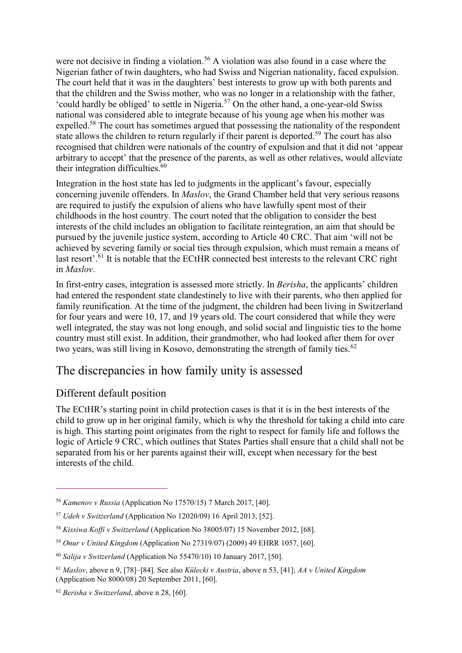were not decisive in finding a violation.<sup>56</sup> A violation was also found in a case where the Nigerian father of twin daughters, who had Swiss and Nigerian nationality, faced expulsion. The court held that it was in the daughters' best interests to grow up with both parents and that the children and the Swiss mother, who was no longer in a relationship with the father, 'could hardly be obliged' to settle in Nigeria.<sup>57</sup> On the other hand, a one-year-old Swiss national was considered able to integrate because of his young age when his mother was expelled.<sup>58</sup> The court has sometimes argued that possessing the nationality of the respondent state allows the children to return regularly if their parent is deported.<sup>59</sup> The court has also recognised that children were nationals of the country of expulsion and that it did not 'appear arbitrary to accept' that the presence of the parents, as well as other relatives, would alleviate their integration difficulties.<sup>60</sup>

Integration in the host state has led to judgments in the applicant's favour, especially concerning juvenile offenders. In *Maslov*, the Grand Chamber held that very serious reasons are required to justify the expulsion of aliens who have lawfully spent most of their childhoods in the host country. The court noted that the obligation to consider the best interests of the child includes an obligation to facilitate reintegration, an aim that should be pursued by the juvenile justice system, according to Article 40 CRC. That aim 'will not be achieved by severing family or social ties through expulsion, which must remain a means of last resort'.<sup>61</sup> It is notable that the ECtHR connected best interests to the relevant CRC right in *Maslov*.

In first-entry cases, integration is assessed more strictly. In *Berisha*, the applicants' children had entered the respondent state clandestinely to live with their parents, who then applied for family reunification. At the time of the judgment, the children had been living in Switzerland for four years and were 10, 17, and 19 years old. The court considered that while they were well integrated, the stay was not long enough, and solid social and linguistic ties to the home country must still exist. In addition, their grandmother, who had looked after them for over two years, was still living in Kosovo, demonstrating the strength of family ties.<sup>62</sup>

## The discrepancies in how family unity is assessed

### Different default position

 $\overline{a}$ 

The ECtHR's starting point in child protection cases is that it is in the best interests of the child to grow up in her original family, which is why the threshold for taking a child into care is high. This starting point originates from the right to respect for family life and follows the logic of Article 9 CRC, which outlines that States Parties shall ensure that a child shall not be separated from his or her parents against their will, except when necessary for the best interests of the child.

<sup>56</sup> *Kamenov v Russia* (Application No 17570/15) 7 March 2017, [40].

<sup>57</sup> *Udeh v Switzerland* (Application No 12020/09) 16 April 2013, [52].

<sup>58</sup> *Kissiwa Koffi v Switzerland* (Application No 38005/07) 15 November 2012, [68].

<sup>59</sup> *Onur v United Kingdom* (Application No 27319/07) (2009) 49 EHRR 1057, [60].

<sup>60</sup> *Salija v Switzerland* (Application No 55470/10) 10 January 2017, [50].

<sup>61</sup> *Maslov*, above n 9, [78]–[84]. See also *Külecki v Austria*, above n 53, [41]; *AA v United Kingdom* (Application No 8000/08) 20 September 2011, [60].

<sup>62</sup> *Berisha v Switzerland*, above n 28, [60].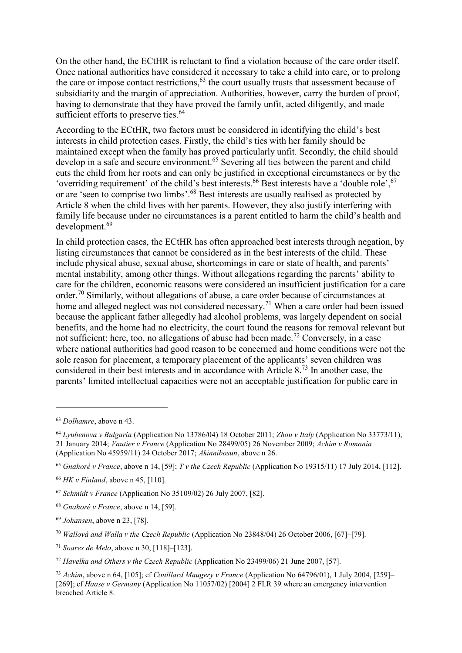On the other hand, the ECtHR is reluctant to find a violation because of the care order itself. Once national authorities have considered it necessary to take a child into care, or to prolong the care or impose contact restrictions,  $63$  the court usually trusts that assessment because of subsidiarity and the margin of appreciation. Authorities, however, carry the burden of proof, having to demonstrate that they have proved the family unfit, acted diligently, and made sufficient efforts to preserve ties.<sup>64</sup>

According to the ECtHR, two factors must be considered in identifying the child's best interests in child protection cases. Firstly, the child's ties with her family should be maintained except when the family has proved particularly unfit. Secondly, the child should develop in a safe and secure environment.<sup>65</sup> Severing all ties between the parent and child cuts the child from her roots and can only be justified in exceptional circumstances or by the 'overriding requirement' of the child's best interests.<sup>66</sup> Best interests have a 'double role',<sup>67</sup> or are 'seen to comprise two limbs'.<sup>68</sup> Best interests are usually realised as protected by Article 8 when the child lives with her parents. However, they also justify interfering with family life because under no circumstances is a parent entitled to harm the child's health and development.<sup>69</sup>

In child protection cases, the ECtHR has often approached best interests through negation, by listing circumstances that cannot be considered as in the best interests of the child. These include physical abuse, sexual abuse, shortcomings in care or state of health, and parents' mental instability, among other things. Without allegations regarding the parents' ability to care for the children, economic reasons were considered an insufficient justification for a care order.<sup>70</sup> Similarly, without allegations of abuse, a care order because of circumstances at home and alleged neglect was not considered necessary.<sup>71</sup> When a care order had been issued because the applicant father allegedly had alcohol problems, was largely dependent on social benefits, and the home had no electricity, the court found the reasons for removal relevant but not sufficient; here, too, no allegations of abuse had been made.<sup>72</sup> Conversely, in a case where national authorities had good reason to be concerned and home conditions were not the sole reason for placement, a temporary placement of the applicants' seven children was considered in their best interests and in accordance with Article 8.<sup>73</sup> In another case, the parents' limited intellectual capacities were not an acceptable justification for public care in

 $\overline{a}$ 

<sup>65</sup> *Gnahoré v France*, above n 14, [59]; *T v the Czech Republic* (Application No 19315/11) 17 July 2014, [112].

<sup>71</sup> *Soares de Melo*, above n 30, [118]–[123].

<sup>63</sup> *Dolhamre*, above n 43.

<sup>64</sup> *Lyubenova v Bulgaria* (Application No 13786/04) 18 October 2011; *Zhou v Italy* (Application No 33773/11), 21 January 2014; *Vautier v France* (Application No 28499/05) 26 November 2009; *Achim v Romania* (Application No 45959/11) 24 October 2017; *Akinnibosun*, above n 26.

<sup>66</sup> *HK v Finland*, above n 45, [110].

<sup>67</sup> *Schmidt v France* (Application No 35109/02) 26 July 2007, [82].

<sup>68</sup> *Gnahoré v France*, above n 14, [59].

<sup>69</sup> *Johansen*, above n 23, [78].

<sup>70</sup> *Wallová and Walla v the Czech Republic* (Application No 23848/04) 26 October 2006, [67]–[79].

<sup>72</sup> *Havelka and Others v the Czech Republic* (Application No 23499/06) 21 June 2007, [57].

<sup>73</sup> *Achim*, above n 64, [105]; cf *Couillard Maugery v France* (Application No 64796/01), 1 July 2004, [259]– [269]; cf *Haase v Germany* (Application No 11057/02) [2004] 2 FLR 39 where an emergency intervention breached Article 8.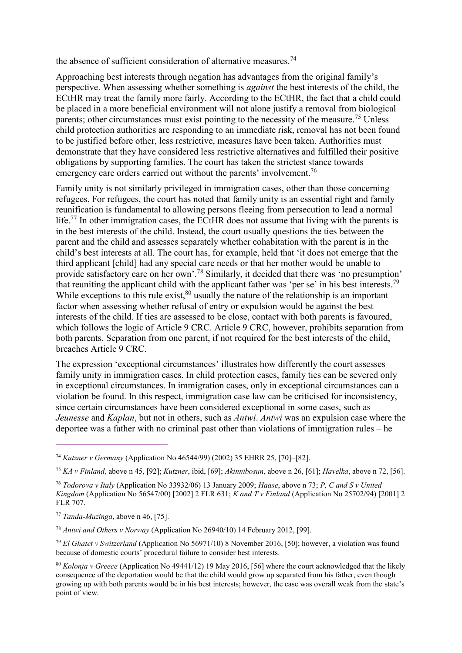the absence of sufficient consideration of alternative measures.<sup>74</sup>

Approaching best interests through negation has advantages from the original family's perspective. When assessing whether something is *against* the best interests of the child, the ECtHR may treat the family more fairly. According to the ECtHR, the fact that a child could be placed in a more beneficial environment will not alone justify a removal from biological parents; other circumstances must exist pointing to the necessity of the measure.<sup>75</sup> Unless child protection authorities are responding to an immediate risk, removal has not been found to be justified before other, less restrictive, measures have been taken. Authorities must demonstrate that they have considered less restrictive alternatives and fulfilled their positive obligations by supporting families. The court has taken the strictest stance towards emergency care orders carried out without the parents' involvement.<sup>76</sup>

Family unity is not similarly privileged in immigration cases, other than those concerning refugees. For refugees, the court has noted that family unity is an essential right and family reunification is fundamental to allowing persons fleeing from persecution to lead a normal life.<sup>77</sup> In other immigration cases, the ECtHR does not assume that living with the parents is in the best interests of the child. Instead, the court usually questions the ties between the parent and the child and assesses separately whether cohabitation with the parent is in the child's best interests at all. The court has, for example, held that 'it does not emerge that the third applicant [child] had any special care needs or that her mother would be unable to provide satisfactory care on her own'.<sup>78</sup> Similarly, it decided that there was 'no presumption' that reuniting the applicant child with the applicant father was 'per se' in his best interests.<sup>79</sup> While exceptions to this rule exist, $80$  usually the nature of the relationship is an important factor when assessing whether refusal of entry or expulsion would be against the best interests of the child. If ties are assessed to be close, contact with both parents is favoured, which follows the logic of Article 9 CRC. Article 9 CRC, however, prohibits separation from both parents. Separation from one parent, if not required for the best interests of the child, breaches Article 9 CRC.

The expression 'exceptional circumstances' illustrates how differently the court assesses family unity in immigration cases. In child protection cases, family ties can be severed only in exceptional circumstances. In immigration cases, only in exceptional circumstances can a violation be found. In this respect, immigration case law can be criticised for inconsistency, since certain circumstances have been considered exceptional in some cases, such as *Jeunesse* and *Kaplan*, but not in others, such as *Antwi*. *Antwi* was an expulsion case where the deportee was a father with no criminal past other than violations of immigration rules – he

<sup>74</sup> *Kutzner v Germany* (Application No 46544/99) (2002) 35 EHRR 25, [70]–[82].

<sup>75</sup> *KA v Finland*, above n 45, [92]; *Kutzner*, ibid, [69]; *Akinnibosun*, above n 26, [61]; *Havelka*, above n 72, [56].

<sup>76</sup> *Todorova v Italy* (Application No 33932/06) 13 January 2009; *Haase*, above n 73; *P, C and S v United Kingdom* (Application No 56547/00) [2002] 2 FLR 631; *K and T v Finland* (Application No 25702/94) [2001] 2 FLR 707.

<sup>77</sup> *Tanda-Muzinga*, above n 46, [75].

<sup>78</sup> *Antwi and Others v Norway* (Application No 26940/10) 14 February 2012, [99].

<sup>79</sup> *El Ghatet v Switzerland* (Application No 56971/10) 8 November 2016, [50]; however, a violation was found because of domestic courts' procedural failure to consider best interests.

<sup>80</sup> *Kolonja v Greece* (Application No 49441/12) 19 May 2016, [56] where the court acknowledged that the likely consequence of the deportation would be that the child would grow up separated from his father, even though growing up with both parents would be in his best interests; however, the case was overall weak from the state's point of view.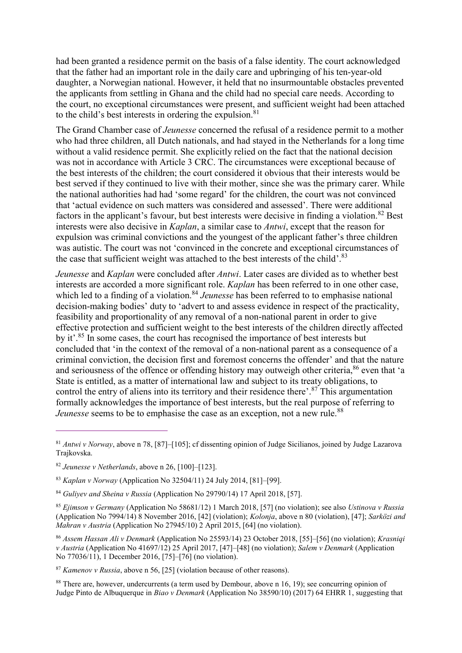had been granted a residence permit on the basis of a false identity. The court acknowledged that the father had an important role in the daily care and upbringing of his ten-year-old daughter, a Norwegian national. However, it held that no insurmountable obstacles prevented the applicants from settling in Ghana and the child had no special care needs. According to the court, no exceptional circumstances were present, and sufficient weight had been attached to the child's best interests in ordering the expulsion.<sup>81</sup>

The Grand Chamber case of *Jeunesse* concerned the refusal of a residence permit to a mother who had three children, all Dutch nationals, and had stayed in the Netherlands for a long time without a valid residence permit. She explicitly relied on the fact that the national decision was not in accordance with Article 3 CRC. The circumstances were exceptional because of the best interests of the children; the court considered it obvious that their interests would be best served if they continued to live with their mother, since she was the primary carer. While the national authorities had had 'some regard' for the children, the court was not convinced that 'actual evidence on such matters was considered and assessed'. There were additional factors in the applicant's favour, but best interests were decisive in finding a violation.<sup>82</sup> Best interests were also decisive in *Kaplan*, a similar case to *Antwi*, except that the reason for expulsion was criminal convictions and the youngest of the applicant father's three children was autistic. The court was not 'convinced in the concrete and exceptional circumstances of the case that sufficient weight was attached to the best interests of the child'.<sup>83</sup>

*Jeunesse* and *Kaplan* were concluded after *Antwi*. Later cases are divided as to whether best interests are accorded a more significant role. *Kaplan* has been referred to in one other case, which led to a finding of a violation.<sup>84</sup> *Jeunesse* has been referred to to emphasise national decision-making bodies' duty to 'advert to and assess evidence in respect of the practicality, feasibility and proportionality of any removal of a non-national parent in order to give effective protection and sufficient weight to the best interests of the children directly affected by it'.<sup>85</sup> In some cases, the court has recognised the importance of best interests but concluded that 'in the context of the removal of a non-national parent as a consequence of a criminal conviction, the decision first and foremost concerns the offender' and that the nature and seriousness of the offence or offending history may outweigh other criteria,<sup>86</sup> even that 'a State is entitled, as a matter of international law and subject to its treaty obligations, to control the entry of aliens into its territory and their residence there'. <sup>87</sup> This argumentation formally acknowledges the importance of best interests, but the real purpose of referring to *Jeunesse* seems to be to emphasise the case as an exception, not a new rule.<sup>88</sup>

<sup>81</sup> *Antwi v Norway*, above n 78, [87]–[105]; cf dissenting opinion of Judge Sicilianos, joined by Judge Lazarova Trajkovska.

<sup>82</sup> *Jeunesse v Netherlands*, above n 26, [100]–[123].

<sup>83</sup> *Kaplan v Norway* (Application No 32504/11) 24 July 2014, [81]–[99].

<sup>84</sup> *Guliyev and Sheina v Russia* (Application No 29790/14) 17 April 2018, [57].

<sup>85</sup> *Ejimson v Germany* (Application No 58681/12) 1 March 2018, [57] (no violation); see also *Ustinova v Russia* (Application No 7994/14) 8 November 2016, [42] (violation); *Kolonja*, above n 80 (violation), [47]; *Sarközi and Mahran v Austria* (Application No 27945/10) 2 April 2015, [64] (no violation).

<sup>86</sup> *Assem Hassan Ali v Denmark* (Application No 25593/14) 23 October 2018, [55]–[56] (no violation); *Krasniqi v Austria* (Application No 41697/12) 25 April 2017, [47]–[48] (no violation); *Salem v Denmark* (Application No 77036/11), 1 December 2016, [75]–[76] (no violation).

<sup>87</sup> *Kamenov v Russia*, above n 56, [25] (violation because of other reasons).

<sup>&</sup>lt;sup>88</sup> There are, however, undercurrents (a term used by Dembour, above n 16, 19); see concurring opinion of Judge Pinto de Albuquerque in *Biao v Denmark* (Application No 38590/10) (2017) 64 EHRR 1, suggesting that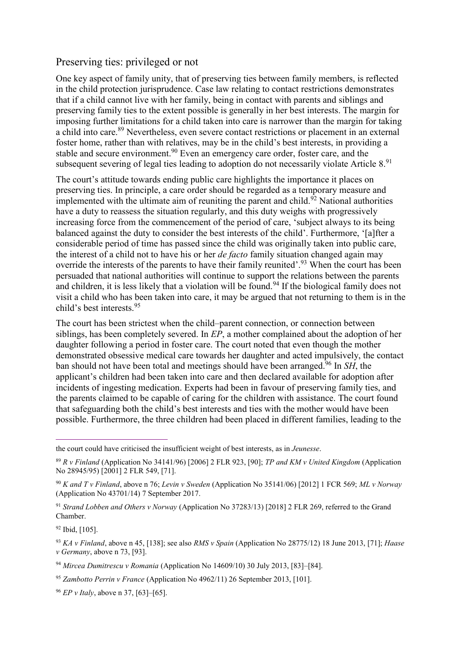### Preserving ties: privileged or not

One key aspect of family unity, that of preserving ties between family members, is reflected in the child protection jurisprudence. Case law relating to contact restrictions demonstrates that if a child cannot live with her family, being in contact with parents and siblings and preserving family ties to the extent possible is generally in her best interests. The margin for imposing further limitations for a child taken into care is narrower than the margin for taking a child into care.<sup>89</sup> Nevertheless, even severe contact restrictions or placement in an external foster home, rather than with relatives, may be in the child's best interests, in providing a stable and secure environment.<sup>90</sup> Even an emergency care order, foster care, and the subsequent severing of legal ties leading to adoption do not necessarily violate Article 8.91

The court's attitude towards ending public care highlights the importance it places on preserving ties. In principle, a care order should be regarded as a temporary measure and implemented with the ultimate aim of reuniting the parent and child.<sup>92</sup> National authorities have a duty to reassess the situation regularly, and this duty weighs with progressively increasing force from the commencement of the period of care, 'subject always to its being balanced against the duty to consider the best interests of the child'. Furthermore, '[a]fter a considerable period of time has passed since the child was originally taken into public care, the interest of a child not to have his or her *de facto* family situation changed again may override the interests of the parents to have their family reunited'.<sup>93</sup> When the court has been persuaded that national authorities will continue to support the relations between the parents and children, it is less likely that a violation will be found.<sup>94</sup> If the biological family does not visit a child who has been taken into care, it may be argued that not returning to them is in the child's best interests.<sup>95</sup>

The court has been strictest when the child–parent connection, or connection between siblings, has been completely severed. In *EP*, a mother complained about the adoption of her daughter following a period in foster care. The court noted that even though the mother demonstrated obsessive medical care towards her daughter and acted impulsively, the contact ban should not have been total and meetings should have been arranged.<sup>96</sup> In *SH*, the applicant's children had been taken into care and then declared available for adoption after incidents of ingesting medication. Experts had been in favour of preserving family ties, and the parents claimed to be capable of caring for the children with assistance. The court found that safeguarding both the child's best interests and ties with the mother would have been possible. Furthermore, the three children had been placed in different families, leading to the

<sup>92</sup> Ibid, [105].

the court could have criticised the insufficient weight of best interests, as in *Jeunesse*.

<sup>89</sup> *R v Finland* (Application No 34141/96) [2006] 2 FLR 923, [90]; *TP and KM v United Kingdom* (Application No 28945/95) [2001] 2 FLR 549, [71].

<sup>90</sup> *K and T v Finland*, above n 76; *Levin v Sweden* (Application No 35141/06) [2012] 1 FCR 569; *ML v Norway* (Application No 43701/14) 7 September 2017.

<sup>91</sup> *Strand Lobben and Others v Norway* (Application No 37283/13) [2018] 2 FLR 269, referred to the Grand Chamber.

<sup>93</sup> *KA v Finland*, above n 45, [138]; see also *RMS v Spain* (Application No 28775/12) 18 June 2013, [71]; *Haase v Germany*, above n 73, [93].

<sup>94</sup> *Mircea Dumitrescu v Romania* (Application No 14609/10) 30 July 2013, [83]–[84].

<sup>95</sup> *Zambotto Perrin v France* (Application No 4962/11) 26 September 2013, [101].

<sup>96</sup> *EP v Italy*, above n 37, [63]–[65].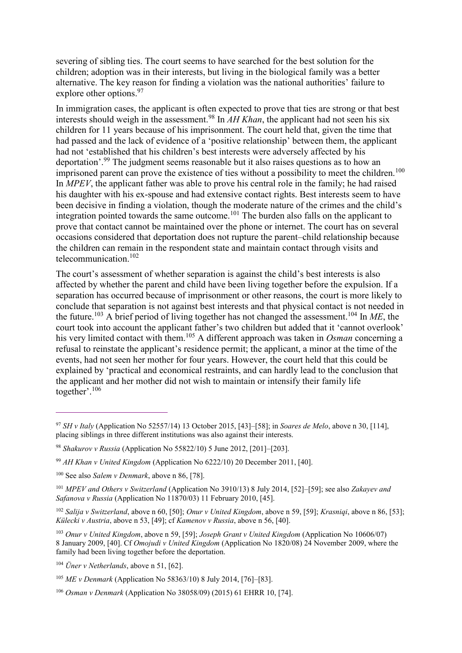severing of sibling ties. The court seems to have searched for the best solution for the children; adoption was in their interests, but living in the biological family was a better alternative. The key reason for finding a violation was the national authorities' failure to explore other options.<sup>97</sup>

In immigration cases, the applicant is often expected to prove that ties are strong or that best interests should weigh in the assessment.<sup>98</sup> In  $AH Khan$ , the applicant had not seen his six children for 11 years because of his imprisonment. The court held that, given the time that had passed and the lack of evidence of a 'positive relationship' between them, the applicant had not 'established that his children's best interests were adversely affected by his deportation'.<sup>99</sup> The judgment seems reasonable but it also raises questions as to how an imprisoned parent can prove the existence of ties without a possibility to meet the children.<sup>100</sup> In *MPEV*, the applicant father was able to prove his central role in the family; he had raised his daughter with his ex-spouse and had extensive contact rights. Best interests seem to have been decisive in finding a violation, though the moderate nature of the crimes and the child's integration pointed towards the same outcome.<sup>101</sup> The burden also falls on the applicant to prove that contact cannot be maintained over the phone or internet. The court has on several occasions considered that deportation does not rupture the parent–child relationship because the children can remain in the respondent state and maintain contact through visits and telecommunication.<sup>102</sup>

The court's assessment of whether separation is against the child's best interests is also affected by whether the parent and child have been living together before the expulsion. If a separation has occurred because of imprisonment or other reasons, the court is more likely to conclude that separation is not against best interests and that physical contact is not needed in the future.<sup>103</sup> A brief period of living together has not changed the assessment.<sup>104</sup> In *ME*, the court took into account the applicant father's two children but added that it 'cannot overlook' his very limited contact with them.<sup>105</sup> A different approach was taken in *Osman* concerning a refusal to reinstate the applicant's residence permit; the applicant, a minor at the time of the events, had not seen her mother for four years. However, the court held that this could be explained by 'practical and economical restraints, and can hardly lead to the conclusion that the applicant and her mother did not wish to maintain or intensify their family life together'. 106

<sup>97</sup> *SH v Italy* (Application No 52557/14) 13 October 2015, [43]–[58]; in *Soares de Melo*, above n 30, [114], placing siblings in three different institutions was also against their interests.

<sup>98</sup> *Shakurov v Russia* (Application No 55822/10) 5 June 2012, [201]–[203].

<sup>99</sup> *AH Khan v United Kingdom* (Application No 6222/10) 20 December 2011, [40].

<sup>100</sup> See also *Salem v Denmark*, above n 86, [78].

<sup>101</sup> *MPEV and Others v Switzerland* (Application No 3910/13) 8 July 2014, [52]–[59]; see also *Zakayev and Safanova v Russia* (Application No 11870/03) 11 February 2010, [45].

<sup>102</sup> *Salija v Switzerland*, above n 60, [50]; *Onur v United Kingdom*, above n 59, [59]; *Krasniqi*, above n 86, [53]; *Külecki v Austria*, above n 53, [49]; cf *Kamenov v Russia*, above n 56, [40].

<sup>103</sup> *Onur v United Kingdom*, above n 59, [59]; *Joseph Grant v United Kingdom* (Application No 10606/07) 8 January 2009, [40]. Cf *Omojudi v United Kingdom* (Application No 1820/08) 24 November 2009, where the family had been living together before the deportation.

<sup>104</sup> *Üner v Netherlands*, above n 51, [62].

<sup>105</sup> *ME v Denmark* (Application No 58363/10) 8 July 2014, [76]–[83].

<sup>106</sup> *Osman v Denmark* (Application No 38058/09) (2015) 61 EHRR 10, [74].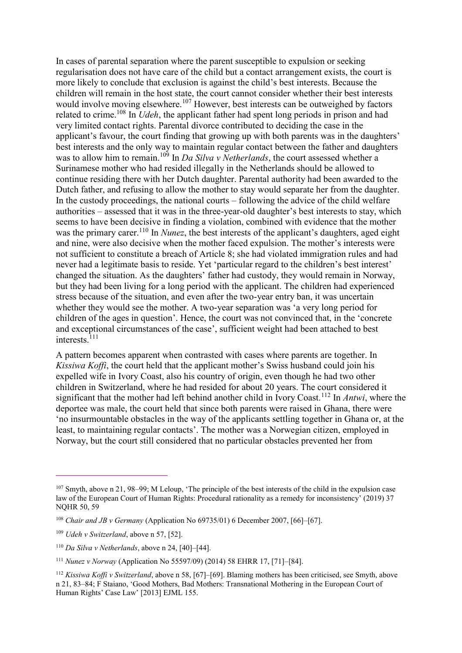In cases of parental separation where the parent susceptible to expulsion or seeking regularisation does not have care of the child but a contact arrangement exists, the court is more likely to conclude that exclusion is against the child's best interests. Because the children will remain in the host state, the court cannot consider whether their best interests would involve moving elsewhere.<sup>107</sup> However, best interests can be outweighed by factors related to crime.<sup>108</sup> In *Udeh*, the applicant father had spent long periods in prison and had very limited contact rights. Parental divorce contributed to deciding the case in the applicant's favour, the court finding that growing up with both parents was in the daughters' best interests and the only way to maintain regular contact between the father and daughters was to allow him to remain.<sup>109</sup> In *Da Silva v Netherlands*, the court assessed whether a Surinamese mother who had resided illegally in the Netherlands should be allowed to continue residing there with her Dutch daughter. Parental authority had been awarded to the Dutch father, and refusing to allow the mother to stay would separate her from the daughter. In the custody proceedings, the national courts – following the advice of the child welfare authorities – assessed that it was in the three-year-old daughter's best interests to stay, which seems to have been decisive in finding a violation, combined with evidence that the mother was the primary carer.<sup>110</sup> In *Nunez*, the best interests of the applicant's daughters, aged eight and nine, were also decisive when the mother faced expulsion. The mother's interests were not sufficient to constitute a breach of Article 8; she had violated immigration rules and had never had a legitimate basis to reside. Yet 'particular regard to the children's best interest' changed the situation. As the daughters' father had custody, they would remain in Norway, but they had been living for a long period with the applicant. The children had experienced stress because of the situation, and even after the two-year entry ban, it was uncertain whether they would see the mother. A two-year separation was 'a very long period for children of the ages in question'. Hence, the court was not convinced that, in the 'concrete and exceptional circumstances of the case', sufficient weight had been attached to best interests.<sup>111</sup>

A pattern becomes apparent when contrasted with cases where parents are together. In *Kissiwa Koffi*, the court held that the applicant mother's Swiss husband could join his expelled wife in Ivory Coast, also his country of origin, even though he had two other children in Switzerland, where he had resided for about 20 years. The court considered it significant that the mother had left behind another child in Ivory Coast.<sup>112</sup> In *Antwi*, where the deportee was male, the court held that since both parents were raised in Ghana, there were 'no insurmountable obstacles in the way of the applicants settling together in Ghana or, at the least, to maintaining regular contacts'. The mother was a Norwegian citizen, employed in Norway, but the court still considered that no particular obstacles prevented her from

<sup>107</sup> Smyth, above n 21, 98–99; M Leloup, 'The principle of the best interests of the child in the expulsion case law of the European Court of Human Rights: Procedural rationality as a remedy for inconsistency' (2019) 37 NQHR 50, 59

<sup>108</sup> *Chair and JB v Germany* (Application No 69735/01) 6 December 2007, [66]–[67].

<sup>109</sup> *Udeh v Switzerland*, above n 57, [52].

<sup>110</sup> *Da Silva v Netherlands*, above n 24, [40]–[44].

<sup>111</sup> *Nunez v Norway* (Application No 55597/09) (2014) 58 EHRR 17, [71]–[84].

<sup>112</sup> *Kissiwa Koffi v Switzerland*, above n 58, [67]–[69]. Blaming mothers has been criticised, see Smyth, above n 21, 83–84; F Staiano, 'Good Mothers, Bad Mothers: Transnational Mothering in the European Court of Human Rights' Case Law' [2013] EJML 155.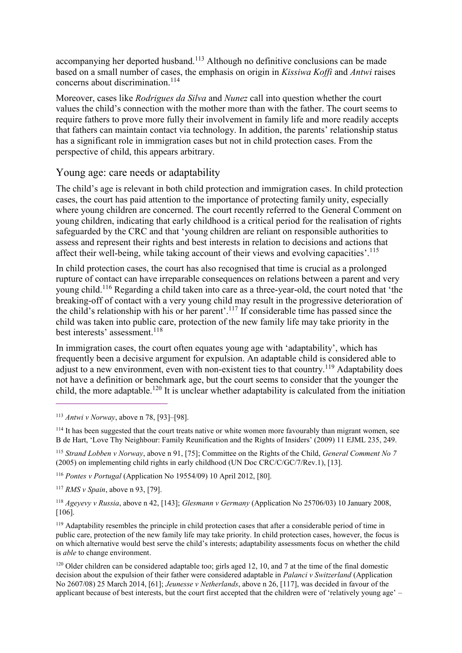accompanying her deported husband.<sup>113</sup> Although no definitive conclusions can be made based on a small number of cases, the emphasis on origin in *Kissiwa Koffi* and *Antwi* raises concerns about discrimination.<sup>114</sup>

Moreover, cases like *Rodrigues da Silva* and *Nunez* call into question whether the court values the child's connection with the mother more than with the father. The court seems to require fathers to prove more fully their involvement in family life and more readily accepts that fathers can maintain contact via technology. In addition, the parents' relationship status has a significant role in immigration cases but not in child protection cases. From the perspective of child, this appears arbitrary.

### Young age: care needs or adaptability

The child's age is relevant in both child protection and immigration cases. In child protection cases, the court has paid attention to the importance of protecting family unity, especially where young children are concerned. The court recently referred to the General Comment on young children, indicating that early childhood is a critical period for the realisation of rights safeguarded by the CRC and that 'young children are reliant on responsible authorities to assess and represent their rights and best interests in relation to decisions and actions that affect their well-being, while taking account of their views and evolving capacities'.<sup>115</sup>

In child protection cases, the court has also recognised that time is crucial as a prolonged rupture of contact can have irreparable consequences on relations between a parent and very young child.<sup>116</sup> Regarding a child taken into care as a three-year-old, the court noted that 'the breaking-off of contact with a very young child may result in the progressive deterioration of the child's relationship with his or her parent'.<sup>117</sup> If considerable time has passed since the child was taken into public care, protection of the new family life may take priority in the best interests' assessment.<sup>118</sup>

In immigration cases, the court often equates young age with 'adaptability', which has frequently been a decisive argument for expulsion. An adaptable child is considered able to adjust to a new environment, even with non-existent ties to that country.<sup>119</sup> Adaptability does not have a definition or benchmark age, but the court seems to consider that the younger the child, the more adaptable.<sup>120</sup> It is unclear whether adaptability is calculated from the initiation

 $\overline{a}$ 

<sup>115</sup> *Strand Lobben v Norway*, above n 91, [75]; Committee on the Rights of the Child, *General Comment No 7* (2005) on implementing child rights in early childhood (UN Doc CRC/C/GC/7/Rev.1), [13].

<sup>116</sup> *Pontes v Portugal* (Application No 19554/09) 10 April 2012, [80].

<sup>117</sup> *RMS v Spain*, above n 93, [79].

<sup>118</sup> *Ageyevy v Russia*, above n 42, [143]; *Glesmann v Germany* (Application No 25706/03) 10 January 2008, [106].

<sup>119</sup> Adaptability resembles the principle in child protection cases that after a considerable period of time in public care, protection of the new family life may take priority. In child protection cases, however, the focus is on which alternative would best serve the child's interests; adaptability assessments focus on whether the child is *able* to change environment.

<sup>120</sup> Older children can be considered adaptable too; girls aged 12, 10, and 7 at the time of the final domestic decision about the expulsion of their father were considered adaptable in *Palanci v Switzerland* (Application No 2607/08) 25 March 2014, [61]; *Jeunesse v Netherlands*, above n 26, [117], was decided in favour of the applicant because of best interests, but the court first accepted that the children were of 'relatively young age' –

<sup>113</sup> *Antwi v Norway*, above n 78, [93]–[98].

<sup>&</sup>lt;sup>114</sup> It has been suggested that the court treats native or white women more favourably than migrant women, see B de Hart, 'Love Thy Neighbour: Family Reunification and the Rights of Insiders' (2009) 11 EJML 235, 249.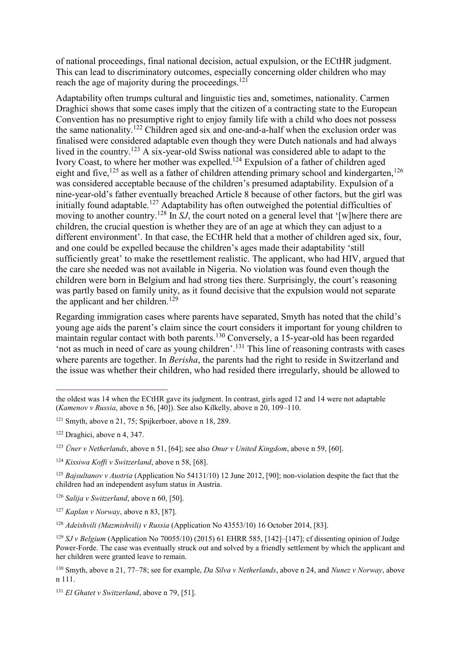of national proceedings, final national decision, actual expulsion, or the ECtHR judgment. This can lead to discriminatory outcomes, especially concerning older children who may reach the age of majority during the proceedings.<sup>121</sup>

Adaptability often trumps cultural and linguistic ties and, sometimes, nationality. Carmen Draghici shows that some cases imply that the citizen of a contracting state to the European Convention has no presumptive right to enjoy family life with a child who does not possess the same nationality.<sup>122</sup> Children aged six and one-and-a-half when the exclusion order was finalised were considered adaptable even though they were Dutch nationals and had always lived in the country.<sup>123</sup> A six-year-old Swiss national was considered able to adapt to the Ivory Coast, to where her mother was expelled.<sup>124</sup> Expulsion of a father of children aged eight and five,<sup>125</sup> as well as a father of children attending primary school and kindergarten,<sup>126</sup> was considered acceptable because of the children's presumed adaptability. Expulsion of a nine-year-old's father eventually breached Article 8 because of other factors, but the girl was initially found adaptable.<sup>127</sup> Adaptability has often outweighed the potential difficulties of moving to another country.<sup>128</sup> In *SJ*, the court noted on a general level that '[w] here there are children, the crucial question is whether they are of an age at which they can adjust to a different environment'. In that case, the ECtHR held that a mother of children aged six, four, and one could be expelled because the children's ages made their adaptability 'still sufficiently great' to make the resettlement realistic. The applicant, who had HIV, argued that the care she needed was not available in Nigeria. No violation was found even though the children were born in Belgium and had strong ties there. Surprisingly, the court's reasoning was partly based on family unity, as it found decisive that the expulsion would not separate the applicant and her children.<sup>129</sup>

Regarding immigration cases where parents have separated, Smyth has noted that the child's young age aids the parent's claim since the court considers it important for young children to maintain regular contact with both parents.<sup>130</sup> Conversely, a 15-year-old has been regarded 'not as much in need of care as young children'. <sup>131</sup> This line of reasoning contrasts with cases where parents are together. In *Berisha*, the parents had the right to reside in Switzerland and the issue was whether their children, who had resided there irregularly, should be allowed to

the oldest was 14 when the ECtHR gave its judgment. In contrast, girls aged 12 and 14 were not adaptable (*Kamenov v Russia*, above n 56, [40]). See also Kilkelly, above n 20, 109–110.

 $121$  Smyth, above n 21, 75; Spijkerboer, above n 18, 289.

<sup>122</sup> Draghici, above n 4, 347.

<sup>123</sup> *Üner v Netherlands*, above n 51, [64]; see also *Onur v United Kingdom*, above n 59, [60].

<sup>124</sup> *Kissiwa Koffi v Switzerland*, above n 58, [68].

<sup>125</sup> *Bajsultanov v Austria* (Application No 54131/10) 12 June 2012, [90]; non-violation despite the fact that the children had an independent asylum status in Austria.

<sup>126</sup> *Salija v Switzerland*, above n 60, [50].

<sup>127</sup> *Kaplan v Norway*, above n 83, [87].

<sup>128</sup> *Adeishvili (Mazmishvili) v Russia* (Application No 43553/10) 16 October 2014, [83].

<sup>129</sup> *SJ v Belgium* (Application No 70055/10) (2015) 61 EHRR 585, [142]–[147]; cf dissenting opinion of Judge Power-Forde. The case was eventually struck out and solved by a friendly settlement by which the applicant and her children were granted leave to remain.

<sup>130</sup> Smyth, above n 21, 77–78; see for example, *Da Silva v Netherlands*, above n 24, and *Nunez v Norway*, above n 111.

<sup>131</sup> *El Ghatet v Switzerland*, above n 79, [51].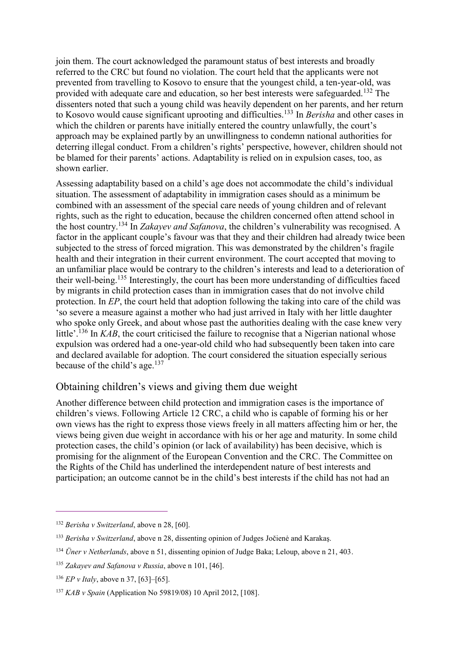join them. The court acknowledged the paramount status of best interests and broadly referred to the CRC but found no violation. The court held that the applicants were not prevented from travelling to Kosovo to ensure that the youngest child, a ten-year-old, was provided with adequate care and education, so her best interests were safeguarded.<sup>132</sup> The dissenters noted that such a young child was heavily dependent on her parents, and her return to Kosovo would cause significant uprooting and difficulties.<sup>133</sup> In *Berisha* and other cases in which the children or parents have initially entered the country unlawfully, the court's approach may be explained partly by an unwillingness to condemn national authorities for deterring illegal conduct. From a children's rights' perspective, however, children should not be blamed for their parents' actions. Adaptability is relied on in expulsion cases, too, as shown earlier.

Assessing adaptability based on a child's age does not accommodate the child's individual situation. The assessment of adaptability in immigration cases should as a minimum be combined with an assessment of the special care needs of young children and of relevant rights, such as the right to education, because the children concerned often attend school in the host country.<sup>134</sup> In *Zakayev and Safanova*, the children's vulnerability was recognised. A factor in the applicant couple's favour was that they and their children had already twice been subjected to the stress of forced migration. This was demonstrated by the children's fragile health and their integration in their current environment. The court accepted that moving to an unfamiliar place would be contrary to the children's interests and lead to a deterioration of their well-being.<sup>135</sup> Interestingly, the court has been more understanding of difficulties faced by migrants in child protection cases than in immigration cases that do not involve child protection. In *EP*, the court held that adoption following the taking into care of the child was 'so severe a measure against a mother who had just arrived in Italy with her little daughter who spoke only Greek, and about whose past the authorities dealing with the case knew very little'.<sup>136</sup> In *KAB*, the court criticised the failure to recognise that a Nigerian national whose expulsion was ordered had a one-year-old child who had subsequently been taken into care and declared available for adoption. The court considered the situation especially serious because of the child's age. $137$ 

### Obtaining children's views and giving them due weight

Another difference between child protection and immigration cases is the importance of children's views. Following Article 12 CRC, a child who is capable of forming his or her own views has the right to express those views freely in all matters affecting him or her, the views being given due weight in accordance with his or her age and maturity. In some child protection cases, the child's opinion (or lack of availability) has been decisive, which is promising for the alignment of the European Convention and the CRC. The Committee on the Rights of the Child has underlined the interdependent nature of best interests and participation; an outcome cannot be in the child's best interests if the child has not had an

<sup>132</sup> *Berisha v Switzerland*, above n 28, [60].

<sup>133</sup> *Berisha v Switzerland*, above n 28, dissenting opinion of Judges Jočienė and Karakaş.

<sup>134</sup> *Üner v Netherlands*, above n 51, dissenting opinion of Judge Baka; Leloup, above n 21, 403.

<sup>135</sup> *Zakayev and Safanova v Russia*, above n 101, [46].

<sup>136</sup> *EP v Italy*, above n 37, [63]–[65].

<sup>137</sup> *KAB v Spain* (Application No 59819/08) 10 April 2012, [108].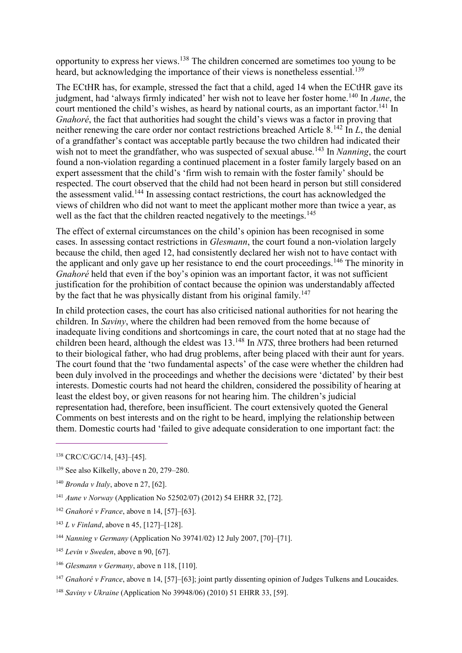opportunity to express her views.<sup>138</sup> The children concerned are sometimes too young to be heard, but acknowledging the importance of their views is nonetheless essential.<sup>139</sup>

The ECtHR has, for example, stressed the fact that a child, aged 14 when the ECtHR gave its judgment, had 'always firmly indicated' her wish not to leave her foster home.<sup>140</sup> In *Aune*, the court mentioned the child's wishes, as heard by national courts, as an important factor.<sup>141</sup> In *Gnahoré*, the fact that authorities had sought the child's views was a factor in proving that neither renewing the care order nor contact restrictions breached Article 8.<sup>142</sup> In *L*, the denial of a grandfather's contact was acceptable partly because the two children had indicated their wish not to meet the grandfather, who was suspected of sexual abuse.<sup>143</sup> In *Nanning*, the court found a non-violation regarding a continued placement in a foster family largely based on an expert assessment that the child's 'firm wish to remain with the foster family' should be respected. The court observed that the child had not been heard in person but still considered the assessment valid.<sup>144</sup> In assessing contact restrictions, the court has acknowledged the views of children who did not want to meet the applicant mother more than twice a year, as well as the fact that the children reacted negatively to the meetings.<sup>145</sup>

The effect of external circumstances on the child's opinion has been recognised in some cases. In assessing contact restrictions in *Glesmann*, the court found a non-violation largely because the child, then aged 12, had consistently declared her wish not to have contact with the applicant and only gave up her resistance to end the court proceedings.<sup>146</sup> The minority in *Gnahoré* held that even if the boy's opinion was an important factor, it was not sufficient justification for the prohibition of contact because the opinion was understandably affected by the fact that he was physically distant from his original family.<sup>147</sup>

In child protection cases, the court has also criticised national authorities for not hearing the children. In *Saviny*, where the children had been removed from the home because of inadequate living conditions and shortcomings in care, the court noted that at no stage had the children been heard, although the eldest was 13.<sup>148</sup> In *NTS*, three brothers had been returned to their biological father, who had drug problems, after being placed with their aunt for years. The court found that the 'two fundamental aspects' of the case were whether the children had been duly involved in the proceedings and whether the decisions were 'dictated' by their best interests. Domestic courts had not heard the children, considered the possibility of hearing at least the eldest boy, or given reasons for not hearing him. The children's judicial representation had, therefore, been insufficient. The court extensively quoted the General Comments on best interests and on the right to be heard, implying the relationship between them. Domestic courts had 'failed to give adequate consideration to one important fact: the

 $\overline{a}$ 

<sup>143</sup> *L v Finland*, above n 45, [127]–[128].

<sup>145</sup> *Levin v Sweden*, above n 90, [67].

<sup>147</sup> *Gnahoré v France*, above n 14, [57]–[63]; joint partly dissenting opinion of Judges Tulkens and Loucaides.

<sup>138</sup> CRC/C/GC/14, [43]–[45].

<sup>139</sup> See also Kilkelly, above n 20, 279–280.

<sup>140</sup> *Bronda v Italy*, above n 27, [62].

<sup>141</sup> *Aune v Norway* (Application No 52502/07) (2012) 54 EHRR 32, [72].

<sup>142</sup> *Gnahoré v France*, above n 14, [57]–[63].

<sup>144</sup> *Nanning v Germany* (Application No 39741/02) 12 July 2007, [70]–[71].

<sup>146</sup> *Glesmann v Germany*, above n 118, [110].

<sup>148</sup> *Saviny v Ukraine* (Application No 39948/06) (2010) 51 EHRR 33, [59].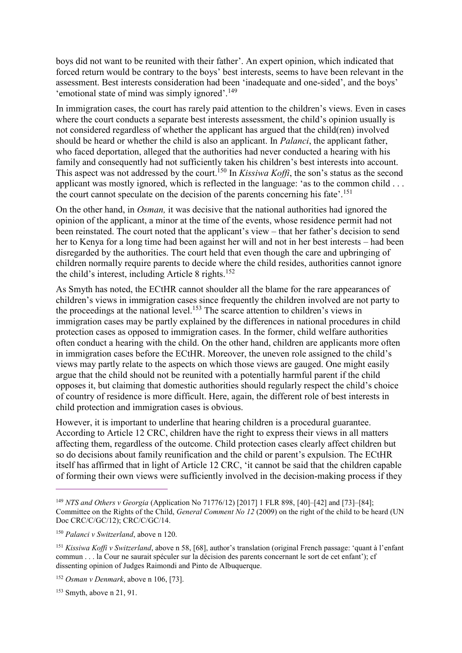boys did not want to be reunited with their father'. An expert opinion, which indicated that forced return would be contrary to the boys' best interests, seems to have been relevant in the assessment. Best interests consideration had been 'inadequate and one-sided', and the boys' 'emotional state of mind was simply ignored'.<sup>149</sup>

In immigration cases, the court has rarely paid attention to the children's views. Even in cases where the court conducts a separate best interests assessment, the child's opinion usually is not considered regardless of whether the applicant has argued that the child(ren) involved should be heard or whether the child is also an applicant. In *Palanci*, the applicant father, who faced deportation, alleged that the authorities had never conducted a hearing with his family and consequently had not sufficiently taken his children's best interests into account. This aspect was not addressed by the court.<sup>150</sup> In *Kissiwa Koffi*, the son's status as the second applicant was mostly ignored, which is reflected in the language: 'as to the common child . . . the court cannot speculate on the decision of the parents concerning his fate'. 151

On the other hand, in *Osman,* it was decisive that the national authorities had ignored the opinion of the applicant, a minor at the time of the events, whose residence permit had not been reinstated. The court noted that the applicant's view – that her father's decision to send her to Kenya for a long time had been against her will and not in her best interests – had been disregarded by the authorities. The court held that even though the care and upbringing of children normally require parents to decide where the child resides, authorities cannot ignore the child's interest, including Article 8 rights.<sup>152</sup>

As Smyth has noted, the ECtHR cannot shoulder all the blame for the rare appearances of children's views in immigration cases since frequently the children involved are not party to the proceedings at the national level.<sup>153</sup> The scarce attention to children's views in immigration cases may be partly explained by the differences in national procedures in child protection cases as opposed to immigration cases. In the former, child welfare authorities often conduct a hearing with the child. On the other hand, children are applicants more often in immigration cases before the ECtHR. Moreover, the uneven role assigned to the child's views may partly relate to the aspects on which those views are gauged. One might easily argue that the child should not be reunited with a potentially harmful parent if the child opposes it, but claiming that domestic authorities should regularly respect the child's choice of country of residence is more difficult. Here, again, the different role of best interests in child protection and immigration cases is obvious.

However, it is important to underline that hearing children is a procedural guarantee. According to Article 12 CRC, children have the right to express their views in all matters affecting them, regardless of the outcome. Child protection cases clearly affect children but so do decisions about family reunification and the child or parent's expulsion. The ECtHR itself has affirmed that in light of Article 12 CRC, 'it cannot be said that the children capable of forming their own views were sufficiently involved in the decision-making process if they

<sup>149</sup> *NTS and Others v Georgia* (Application No 71776/12) [2017] 1 FLR 898, [40]–[42] and [73]–[84]; Committee on the Rights of the Child, *General Comment No 12* (2009) on the right of the child to be heard (UN Doc CRC/C/GC/12); CRC/C/GC/14.

<sup>150</sup> *Palanci v Switzerland*, above n 120.

<sup>151</sup> *Kissiwa Koffi v Switzerland*, above n 58, [68], author's translation (original French passage: 'quant à l'enfant commun . . . la Cour ne saurait spéculer sur la décision des parents concernant le sort de cet enfant'); cf dissenting opinion of Judges Raimondi and Pinto de Albuquerque.

<sup>152</sup> *Osman v Denmark*, above n 106, [73].

<sup>153</sup> Smyth, above n 21, 91.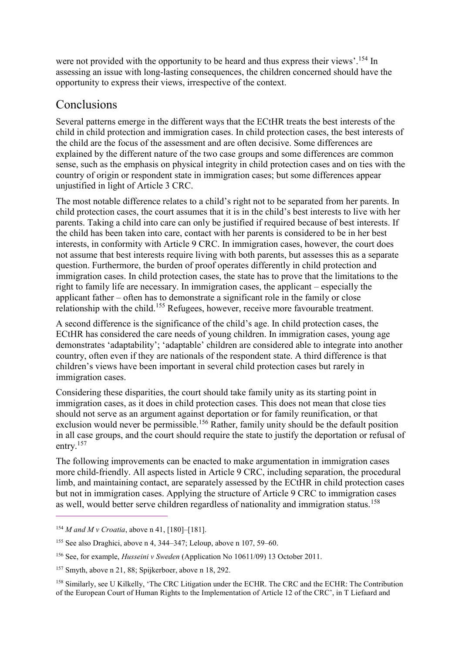were not provided with the opportunity to be heard and thus express their views'.<sup>154</sup> In assessing an issue with long-lasting consequences, the children concerned should have the opportunity to express their views, irrespective of the context.

## Conclusions

Several patterns emerge in the different ways that the ECtHR treats the best interests of the child in child protection and immigration cases. In child protection cases, the best interests of the child are the focus of the assessment and are often decisive. Some differences are explained by the different nature of the two case groups and some differences are common sense, such as the emphasis on physical integrity in child protection cases and on ties with the country of origin or respondent state in immigration cases; but some differences appear unjustified in light of Article 3 CRC.

The most notable difference relates to a child's right not to be separated from her parents. In child protection cases, the court assumes that it is in the child's best interests to live with her parents. Taking a child into care can only be justified if required because of best interests. If the child has been taken into care, contact with her parents is considered to be in her best interests, in conformity with Article 9 CRC. In immigration cases, however, the court does not assume that best interests require living with both parents, but assesses this as a separate question. Furthermore, the burden of proof operates differently in child protection and immigration cases. In child protection cases, the state has to prove that the limitations to the right to family life are necessary. In immigration cases, the applicant – especially the applicant father – often has to demonstrate a significant role in the family or close relationship with the child.<sup>155</sup> Refugees, however, receive more favourable treatment.

A second difference is the significance of the child's age. In child protection cases, the ECtHR has considered the care needs of young children. In immigration cases, young age demonstrates 'adaptability'; 'adaptable' children are considered able to integrate into another country, often even if they are nationals of the respondent state. A third difference is that children's views have been important in several child protection cases but rarely in immigration cases.

Considering these disparities, the court should take family unity as its starting point in immigration cases, as it does in child protection cases. This does not mean that close ties should not serve as an argument against deportation or for family reunification, or that exclusion would never be permissible.<sup>156</sup> Rather, family unity should be the default position in all case groups, and the court should require the state to justify the deportation or refusal of entry.<sup>157</sup>

The following improvements can be enacted to make argumentation in immigration cases more child-friendly. All aspects listed in Article 9 CRC, including separation, the procedural limb, and maintaining contact, are separately assessed by the ECtHR in child protection cases but not in immigration cases. Applying the structure of Article 9 CRC to immigration cases as well, would better serve children regardless of nationality and immigration status.<sup>158</sup>

<sup>154</sup> *M and M v Croatia*, above n 41, [180]–[181].

<sup>155</sup> See also Draghici, above n 4, 344–347; Leloup, above n 107, 59–60.

<sup>156</sup> See, for example, *Husseini v Sweden* (Application No 10611/09) 13 October 2011.

<sup>157</sup> Smyth, above n 21, 88; Spijkerboer, above n 18, 292.

<sup>158</sup> Similarly, see U Kilkelly, 'The CRC Litigation under the ECHR. The CRC and the ECHR: The Contribution of the European Court of Human Rights to the Implementation of Article 12 of the CRC', in T Liefaard and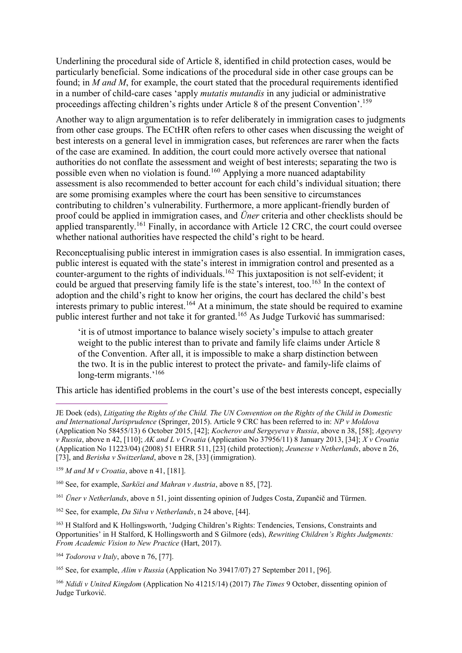Underlining the procedural side of Article 8, identified in child protection cases, would be particularly beneficial. Some indications of the procedural side in other case groups can be found; in *M and M*, for example, the court stated that the procedural requirements identified in a number of child-care cases 'apply *mutatis mutandis* in any judicial or administrative proceedings affecting children's rights under Article 8 of the present Convention'.<sup>159</sup>

Another way to align argumentation is to refer deliberately in immigration cases to judgments from other case groups. The ECtHR often refers to other cases when discussing the weight of best interests on a general level in immigration cases, but references are rarer when the facts of the case are examined. In addition, the court could more actively oversee that national authorities do not conflate the assessment and weight of best interests; separating the two is possible even when no violation is found.<sup>160</sup> Applying a more nuanced adaptability assessment is also recommended to better account for each child's individual situation; there are some promising examples where the court has been sensitive to circumstances contributing to children's vulnerability. Furthermore, a more applicant-friendly burden of proof could be applied in immigration cases, and *Üner* criteria and other checklists should be applied transparently.<sup>161</sup> Finally, in accordance with Article 12 CRC, the court could oversee whether national authorities have respected the child's right to be heard.

Reconceptualising public interest in immigration cases is also essential. In immigration cases, public interest is equated with the state's interest in immigration control and presented as a counter-argument to the rights of individuals.<sup>162</sup> This juxtaposition is not self-evident; it could be argued that preserving family life is the state's interest, too.<sup>163</sup> In the context of adoption and the child's right to know her origins, the court has declared the child's best interests primary to public interest.<sup>164</sup> At a minimum, the state should be required to examine public interest further and not take it for granted.<sup>165</sup> As Judge Turković has summarised:

'it is of utmost importance to balance wisely society's impulse to attach greater weight to the public interest than to private and family life claims under Article 8 of the Convention. After all, it is impossible to make a sharp distinction between the two. It is in the public interest to protect the private- and family-life claims of long-term migrants.'<sup>166</sup>

This article has identified problems in the court's use of the best interests concept, especially

 $\overline{a}$ 

<sup>161</sup> *Üner v Netherlands*, above n 51, joint dissenting opinion of Judges Costa, Zupančič and Türmen.

<sup>163</sup> H Stalford and K Hollingsworth, 'Judging Children's Rights: Tendencies, Tensions, Constraints and Opportunities' in H Stalford, K Hollingsworth and S Gilmore (eds), *Rewriting Children's Rights Judgments: From Academic Vision to New Practice* (Hart, 2017).

<sup>164</sup> *Todorova v Italy*, above n 76, [77].

<sup>165</sup> See, for example, *Alim v Russia* (Application No 39417/07) 27 September 2011, [96].

<sup>166</sup> *Ndidi v United Kingdom* (Application No 41215/14) (2017) *The Times* 9 October, dissenting opinion of Judge Turković.

JE Doek (eds), *Litigating the Rights of the Child. The UN Convention on the Rights of the Child in Domestic and International Jurisprudence* (Springer, 2015). Article 9 CRC has been referred to in: *NP v Moldova*  (Application No 58455/13) 6 October 2015, [42]; *Kocherov and Sergeyeva v Russia*, above n 38, [58]; *Ageyevy v Russia*, above n 42, [110]; *AK and L v Croatia* (Application No 37956/11) 8 January 2013, [34]; *X v Croatia* (Application No 11223/04) (2008) 51 EHRR 511, [23] (child protection); *Jeunesse v Netherlands*, above n 26, [73], and *Berisha v Switzerland*, above n 28, [33] (immigration).

<sup>159</sup> *M and M v Croatia*, above n 41, [181].

<sup>160</sup> See, for example, *Sarközi and Mahran v Austria*, above n 85, [72].

<sup>162</sup> See, for example, *Da Silva v Netherlands*, n 24 above, [44].